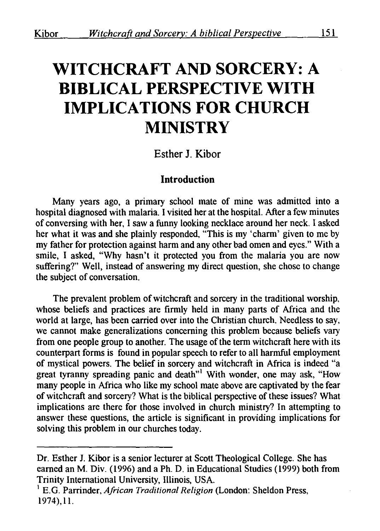# **WITCHCRAFT AND SORCERY: A BIBLICAL PERSPECTIVE WITH IMPLICATIONS FOR CHURCH MINISTRY**

## Esther **J.** Kibor

## **Introduction**

Many years ago, a primary school mate of mine was admitted into a hospital diagnosed with malaria. I visited her at the hospital. After a few minutes of conversing with her, I saw a funny looking necklace around her neck. I asked her what it was and she plainly responded, "This is my 'charm' given to me by my father for protection against harm and any other bad omen and eyes." With a smile, I asked, "Why hasn't it protected you from the malaria you are now suffering?" Well, instead of answering my direct question, she chose to change the subject of conversation.

The prevalent problem of witchcraft and sorcery in the traditional worship, whose beliefs and practices are firmly held in many parts of Africa and the world at large, has been carried over into the Christian church. Needless to say, we cannot make generalizations concerning this problem because beliefs vary from one people group to another. The usage of the term witchcraft here with its counterpart forms is found in popular speech to refer to all harmful employment of mystical powers. The belief in sorcery and witchcraft in Africa is indeed "a great tyranny spreading panic and death<sup>"1</sup> With wonder, one may ask, "How many people in Africa who like my school mate above are captivated by the fear of witchcraft and sorcery? What is the biblical perspective of these issues? What implications are there for those involved in church ministry? In attempting to answer these questions, the article is significant in providing implications for solving this problem in our churches today.

Dr. Esther J. Kibor is a senior lecturer at Scott Theological College. She has earned an M. Div. (1996) and a Ph. D. in Educational Studies (1999) both from Trinity International University, Illinois, USA. 1 E.G. Parrinder, *African Traditional Religion* (London: Sheldon Press,

<sup>1974),11.</sup>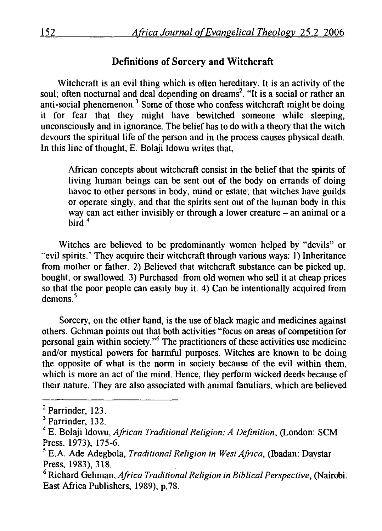# Definitions of Sorcery and Witchcraft

Witchcraft is an evil thing which is often hereditary. It is an activity of the soul; often nocturnal and deal depending on dreams<sup>2</sup>. "It is a social or rather an anti-social phenomenon.<sup>3</sup> Some of those who confess witchcraft might be doing it for fear that they might have bewitched someone while sleeping, unconsciously and in ignorance. The belief has to do with a theory that the witch devours the spiritual life of the person and in the process causes physical death. In this line of thought, E. Bolaji Idowu writes that,

African concepts about witchcraft consist in the belief that the spirits of living human beings can be sent out of the body on errands of doing havoc to other persons in body, mind or estate; that witches have guilds or operate singly, and that the spirits sent out of the human body in this way can act either invisibly or through a lower creature  $-$  an animal or a bird.<sup>4</sup>

Witches are believed to be predominantly women helped by "devils" or "evil spirits.' They acquire their witchcraft through various ways: I) Inheritance from mother or father. 2) Believed that witchcraft substance can be picked up, bought, or swallowed. 3) Purchased from old women who sell it at cheap prices so that the poor people can easily buy it. 4) Can be intentionally acquired from demons<sup>5</sup>

Sorcery, on the other hand, is the use of black magic and medicines against others. Gehman points out that both activities "focus on areas of competition for personal gain within society."6 The practitioners of these activities use medicine and/or mystical powers for harmful purposes. Witches are known to be doing the opposite of what is the norm in society because of the evil within them, which is more an act of the mind. Hence, they perform wicked deeds because of their nature. They are also associated with animal familiars, which are believed

<sup>&</sup>lt;sup>2</sup> Parrinder, 123.<br><sup>3</sup> Parrinder, 132.<br><sup>4</sup> E. Bolaji Idowu, *African Traditional Religion: A Definition*, (London: SCM Press. 1973), 175-6. *<sup>5</sup>*E. A. Ade Adegbola, *Traditional Religion in West Africa,* (Ibadan: Daystar

Press, 1983), 318.<br><sup>6</sup> Richard Gehman, *Africa Traditional Religion in Biblical Perspective*, (Nairobi:

East Africa Publishers, 1989), p.78.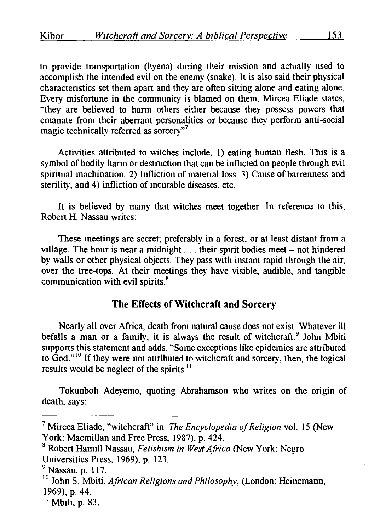to provide transportation (hyena) during their mission and actually used to accomplish the intended evil on the enemy (snake). It is also said their physical characteristics set them apart and they are often sitting alone and eating alone. Every misfortune in the community is blamed on them. Mircea Eliade states, "they are believed to harm others either because they possess powers that emanate from their aberrant personalities or because they perform anti-social magic technically referred as sorcery"<sup>7</sup>

Activities attributed to witches include, I) eating human flesh. This is a symbol of bodily harm or destruction that can be inflicted on people through evil spiritual machination. 2) Infliction of material loss. 3) Cause of barrenness and sterility, and 4) infliction of incurable diseases, etc.

It is believed by many that witches meet together. In reference to this, Robert H. Nassau writes:

These meetings are secret; preferably in a forest, or at least distant from a village. The hour is near a midnight  $\ldots$  their spirit bodies meet – not hindered by walls or other physical objects. They pass with instant rapid through the air, over the tree-tops. At their meetings they have visible, audible, and tangible communication with evil spirits.<sup>8</sup>

# The Effects of Witchcraft and Sorcery

Nearly all over Africa, death from natural cause does not exist. Whatever ill befalls a man or a family, it is always the result of witchcraft.<sup>9</sup> John Mbiti supports this statement and adds, "Some exceptions like epidemics are attributed to God."<sup>10</sup> If they were not attributed to witchcraft and sorcery, then, the logical results would be neglect of the spirits. $<sup>11</sup>$ </sup>

Tokunboh Adeyemo, quoting Abrahamson who writes on the origin of death, says:

<sup>7</sup> Mircea Eliade, "witchcraft" in *The Encyclopedia of Religion* vol. 15 (New York: Macmillan and Free Press, 1987), p. 424.

<sup>&</sup>lt;sup>8</sup> Robert Hamill Nassau, *Fetishism in West Africa* (New York: Negro Universities Press, 1969), p. 123.<br>
<sup>9</sup> Nassau, p. 117.

<sup>&</sup>lt;sup>10</sup> John S. Mbiti, *African Religions and Philosophy*, *(London: Heinemann,* 1969), p. 44.

 $11$  Mbiti, p. 83.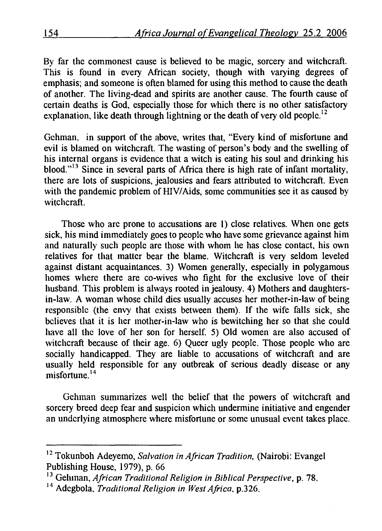By far the commonest cause is believed to be magic, sorcery and witchcraft. This is found in every African society, though with varying degrees of emphasis; and someone is often blamed for using this method to cause the death of another. The living-dead and spirits are another cause. The fourth cause of certain deaths is God, especially those for which there is no other satisfactory explanation, like death through lightning or the death of very old people.<sup>12</sup>

Gehman. in support of the above, writes that, "Every kind of misfortune and evil is blamed on witchcraft. The wasting of person's body and the swelling of his internal organs is evidence that a witch is eating his soul and drinking his blood."<sup>13</sup> Since in several parts of Africa there is high rate of infant mortality, there are lots of suspicions, jealousies and fears attributed to witchcraft. Even with the pandemic problem of HIV/Aids, some communities see it as caused by witchcraft.

Those who are prone to accusations are I) close relatives. When one gets sick, his mind immediately goes to people who have some grievance against him and naturally such people are those with whom he has close contact, his own relatives for that matter bear the blame. Witchcraft is very seldom leveled against distant acquaintances. 3) Women generally, especially in polygamous homes where there are eo-wives who fight for the exclusive love of their husband. This problem is always rooted in jealousy. 4) Mothers and daughtersin-law. A woman whose child dies usually accuses her mother-in-law of being responsible (the envy that exists between them). If the wife falls sick, she believes that it is her mother-in-law who is bewitching her so that she could have all the love of her son for herself. 5) Old women are also accused of witchcraft because of their age. 6) Queer ugly people. Those people who are socially handicapped. They are liable to accusations of witchcraft and are usually held responsible for any outbreak of serious deadly disease or any misfortune. 14

Gehman summarizes well the belief that the powers of witchcraft and sorcery breed deep fear and suspicion which undermine initiative and engender an underlying atmosphere where misfortune or some unusual event takes place.

<sup>&</sup>lt;sup>12</sup> Tokunboh Adeyemo, *Salvation in African Tradition*, (Nairobi: Evangel Publishing House, 1979), p. 66

<sup>&</sup>lt;sup>13</sup> Gehman, *African Traditional Religion in Biblical Perspective*, p. 78. <sup>14</sup> Adegbola, *Traditional Religion in West Africa.* **p. 326.**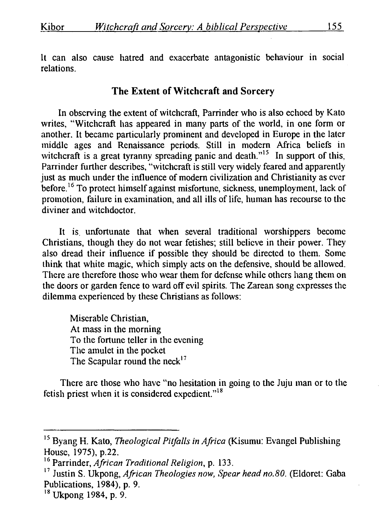It can also cause hatred and exacerbate antagonistic behaviour in social relations.

## **The Extent of Witchcraft and** Sorcery

In observing the extent of witchcraft, Parrinder who is also echoed by Kato writes, "Witchcraft has appeared in many parts of the world, in one form or another. It became particularly prominent and developed in Europe in the later middle ages and Renaissance periods. Still in modern Africa beliefs in witchcraft is a great tyranny spreading panic and death."<sup>15</sup> In support of this, Parrinder further describes, "witchcraft is still very widely feared and apparently just as much under the influence of modern civilization and Christianity as ever before.<sup>16</sup> To protect himself against misfortune, sickness, unemployment, lack of promotion, failure in examination, and all ills of life, human has recourse to the diviner and witchdoctor.

It is. unfortunate that when several traditional worshippers become Christians, though they do not wear fetishes; still believe in their power. They also dread their influence if possible they should be directed to them. Some think that white magic, which simply acts on the defensive, should be allowed. There are therefore those who wear them for defense while others hang them on the doors or garden fence to ward off evil spirits. The Zarean song expresses the dilemma experienced by these Christians as follows:

Miserable Christian, At mass in the morning To the fortune teller in the evening The amulet in the pocket The Scapular round the neck<sup>17</sup>

There arc those who have "no hesitation in going to the Juju man or to the fetish priest when it is considered expedient."<sup>18</sup>

<sup>&</sup>lt;sup>15</sup> Byang H. Kato, *Theological Pitfalls in Africa* (Kisumu: Evangel Publishing House, 1975}, p.22.

<sup>&</sup>lt;sup>16</sup> Parrinder, *African Traditional Religion, p.* 133.

<sup>&</sup>lt;sup>17</sup> Justin S. Ukpong, *African Theologies now, Spear head no.80.* (Eldoret: Gaba Publications, 1984}, p. 9.

<sup>&</sup>lt;sup>18</sup> Ukpong 1984, p. 9.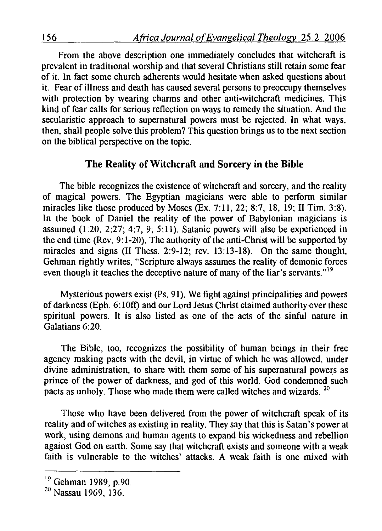From the above description one immediately concludes that witchcraft is prevalent in traditional worship and that several Christians still retain some fear of it. In fact some church adherents would hesitate when asked questions about it. Fear of illness and death has caused several persons to preoccupy themselves with protection by wearing charms and other anti-witchcraft medicines. This kind of fear calls for serious reflection on ways to remedy the situation. And the secularistic approach to supernatural powers must be rejected. In what ways, then, shall people solve this problem? This question brings us to the next section on the biblical perspective on the topic.

#### The Reality of Witchcraft and Sorcery in the Bible

The bible recognizes the existence of witchcraft and sorcery, and the reality of magical powers. The Egyptian magicians were able to perform similar miracles like those produced by Moses (Ex. 7:11, 22; 8:7, 18, 19; 11 Tim. 3:8). In the book of Daniel the reality of the power of Babylonian magicians is assumed (1:20, 2:27; 4:7, 9; 5:11). Satanic powers will also be experienced in the end time (Rev. 9: 1-20). The authority of the anti-Christ will be supported by miracles and signs (II Thess. 2:9-12; rev. 13:13-18). On the same thought, Gehman rightly writes, "Scripture always assumes the reality of demonic forces even though it teaches the deceptive nature of many of the liar's servants."<sup>19</sup>

Mysterious powers exist (Ps. 91). We fight against principalities and powers of darkness (Eph. 6: lOft) and our Lord Jesus Christ claimed authority over these spiritual powers. It is also listed as one of the acts of the sinful nature in Galatians 6:20.

The Bible, too, recognizes the possibility of human beings in their free agency making pacts with the devil, in virtue of which he was allowed, under divine administration, to share with them some of his supernatural powers as prince of the power of darkness, and god of this world. God condemned such pacts as unholy. Those who made them were called witches and wizards. <sup>20</sup>

Those who have been delivered from the power of witchcraft speak of its reality and of witches as existing in reality. They say that this is Satan's power at work, using demons and human agents to expand his wickedness and rebellion against God on earth. Some say that witchcraft exists and someone with a weak faith is vulnerable to the witches' attacks. A weak faith is one mixed with

<sup>&</sup>lt;sup>19</sup> Gehman 1989, p.90.

<sup>&</sup>lt;sup>20</sup> Nassau 1969, 136.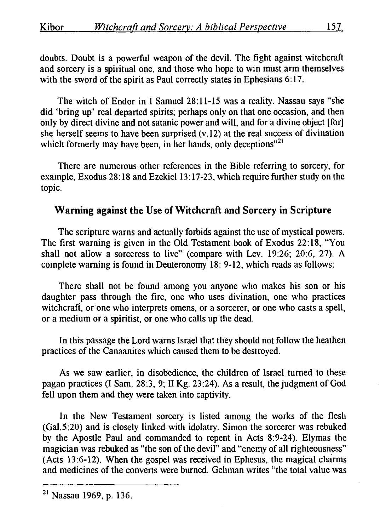doubts. Doubt is a powerful weapon of the devil. The fight against witchcraft and sorcery is a spiritual one, and those who hope to win must arm themselves with the sword of the spirit as Paul correctly states in Ephesians 6:17.

The witch of Endor in I Samuel 28:11-15 was a reality. Nassau says "she did 'bring up' real departed spirits; perhaps only on that one occasion, and then only by direct divine and not satanic power and will, and for a divine object [for] she herself seems to have been surprised (v.12) at the real success of divination which formerly may have been, in her hands, only deceptions"<sup>21</sup>

There are numerous other references in the Bible referring to sorcery, for example, Exodus 28:18 and Ezekiel 13:17-23, which require further study on the topic.

# Warning against the Use of Witchcraft and Sorcery in Scripture

The scripture warns and actually forbids against the use of mystical powers. The first warning is given in the Old Testament book of Exodus 22: 18, "You shall not allow a sorceress to live" (compare with Lev. 19:26; 20:6, 27). A complete warning is found in Deuteronomy 18: 9-12, which reads as follows:

There shall not be found among you anyone who makes his son or his daughter pass through the fire, one who uses divination, one who practices witchcraft, or one who interprets omens, or a sorcerer, or one who casts a spell, or a medium or a spiritist, or one who calls up the dead.

In this passage the Lord warns Israel that they should not follow the heathen practices of the Canaanites which caused them to be destroyed.

As we saw earlier, in disobedience, the children of Israel turned to these pagan practices (I Sam. 28:3, 9; 11 Kg. 23:24). As a result, the judgment of God fell upon them and they were taken into captivity.

In the New Testament sorcery is listed among the works of the flesh (Gal.5:20) and is closely linked with idolatry. Simon the sorcerer was rebuked by the Apostle Paul and commanded to repent in Acts 8:9-24). Elymas the magician was rebuked as "the son of the devil" and "enemy of all righteousness" (Acts 13:6-12). When the gospel was received in Ephesus, the magical charms and medicines of the converts were burned. Gehman writes "the total value was

 $21$  Nassau 1969, p. 136.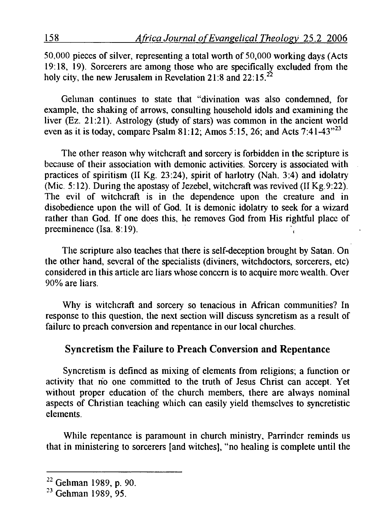50.000 pieces of silver, representing a total worth of 50,000 working days (Acts 19:18, 19). Sorcerers are among those who are specifically excluded from the holy city, the new Jerusalem in Revelation 21:8 and 22:15.<sup>22</sup>

Gelunan continues to state that "divination was also condemned, for example, the shaking of arrows, consulting household idols and examining the liver (Ez. 21:21). Astrology (study of stars) was common in the ancient world even as it is today, compare Psalm 81:12; Amos 5:15, 26; and Acts 7:41-43"<sup>23</sup>

The other reason why witchcraft and sorcery is forbidden in the scripture is because of their association with demonic activities. Sorcery is associated with practices of spiritism (II Kg. 23:24), spirit of harlotry (Nah. 3:4) and idolatry (Mic. 5: 12). During the apostasy of Jezebel, witchcraft was revived (II Kg.9:22). The evil of witchcraft is in the dependence upon the creature and in disobedience upon the will of God. It is demonic idolatry to seek for a wizard rather than God. If one does this, he removes God from His rightful place of preeminence  $(Isa. 8:19)$ .

The scripture also teaches that there is self-deception brought by Satan. On the other hand, several of the specialists (diviners, witchdoctors, sorcerers, etc) considered in this article arc liars whose concern is to acquire more wealth. Over 90% are liars.

Why is witchcraft and sorcery so tenacious in African communities? In response to this question, the next section will discuss syncretism as a result of failure to preach conversion and repentance in our local churches.

# Syncretism the Failure to Preach Conversion and Repentance

Syncretism is defined as mixing of elements from religions; a function or activity that rio one committed to the truth of Jesus Christ can accept. Yet without proper education of the church members, there are always nominal aspects of Christian teaching which can easily yield themselves to syncretistic elements.

While repentance is paramount in church ministry, Parrinder reminds us that in ministering to sorcerers [and witches], "no healing is complete until the

 $^{22}$  Gehman 1989, p. 90.<br><sup>23</sup> Gehman 1989, 95.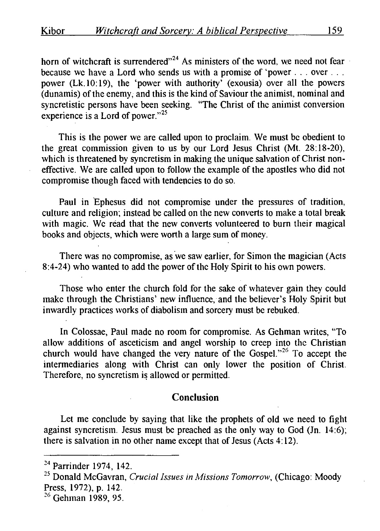horn of witchcraft is surrendered"<sup>24</sup> As ministers of the word, we need not fear because we have a Lord who sends us with a promise of 'power . . . over . . . power (Lk.lO: 19), the 'power with authority' (exousia) over all the powers (dunamis) of the enemy, and this is the kind of Saviour the animist, nominal and syncretistic persons have been seeking. "The Christ of the animist conversion experience is a Lord of power." $25$ 

This is the power we are called upon to proclaim. We must be obedient to the great commission given to us by our Lord Jesus Christ (Mt. 28: 18-20), which is threatened by syncretism in making the unique salvation of Christ noneffective. We are called upon to follow the example of the apostles who did not compromise though faced with tendencies to do so.

Paul in 'Ephesus did not compromise under the pressures of tradition, culture and religion; instead be called on the new converts to make a total break with magic. We read that the new converts volunteered to burn their magical books and objects, which were worth a large sum of money.

There was no compromise, as we saw earlier, for Simon the magician (Acts) 8:4-24) who wanted to add the power of the Holy Spirit to his own powers.

Those who enter the church fold for the sake of whatever gain they could make through the Christians' new influence, and the believer's Holy Spirit but inwardly practices works of diabolism and sorcery must be rebuked.

In Colossae, Paul made no room for compromise. As Gehman writes, "To allow additions of asceticism and angel worship to creep into the Christian church would have changed the very nature of the Gospel."<sup>26</sup> To accept the intermediaries along with Christ can only lower the position of Christ. Therefore, no syncretism is allowed or permitted.

## **Conclusion**

Let me conclude by saying that like the prophets of old we need to fight against syncretism. Jesus must be preached as the only way to God (Jn. 14:6); there is salvation in no other name except that of Jesus (Acts  $4:12$ ).

 $24$  Parrinder 1974, 142.

<sup>&</sup>lt;sup>25</sup> Donald McGavran, *Crucial Issues in Missions Tomorrow*, (Chicago: Moody Press, 1972), p. 142.<br><sup>26</sup> Gehman 1989, 95.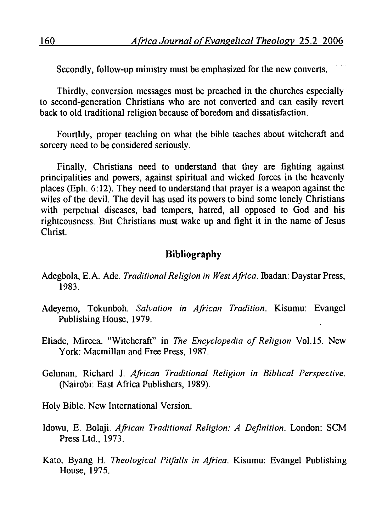Secondly, follow-up ministry must be emphasized for the new converts.

Thirdly, conversion messages must be preached in the churches especially to second-generation Christians who are not converted and can easily revert back to old traditional religion because of boredom and dissatisfaction.

Fourthly, proper teaching on what the bible teaches about witchcraft and sorcery need to be considered seriously.

Finally, Christians need to understand that they are fighting against principalities and powers, against spiritual and wicked forces in the heavenly places (Eph. 6: 12). They need to understand that prayer is a weapon against the wiles of the devil. The devil has used its powers to bind some lonely Christians with perpetual diseases, bad tempers, hatred, all opposed to God and his righteousness. But Christians must wake up and fight it in the name of Jesus Christ.

# **Bibliography**

- Adegbola, E.A. Ade. *Traditional Religion in West Africa.* lbadan: Daystar Press, 1983.
- Adeyemo, Tokunboh. *Salvation in African Tradition.* Kisumu: Evangel Publishing House, 1979.
- Eliade, Mircca. "Witchcraft" in *The Encyclopedia of Religion* Vol.l5. New York: Macmillan and Free Press, 1987.
- Gehman, Richard J. *African Traditional Religion in Biblical Perspective.*  (Nairobi: East Africa Publishers, 1989).
- Holy Bible. New International Version.
- Idowu, E. Bolaji. *African Traditional Religion: A Definition.* London: SCM Press Ltd., 1973.
- Kato, Byang H. *Theological Pitfalls in Africa.* Kisumu: Evangel Publishing House, 1975.